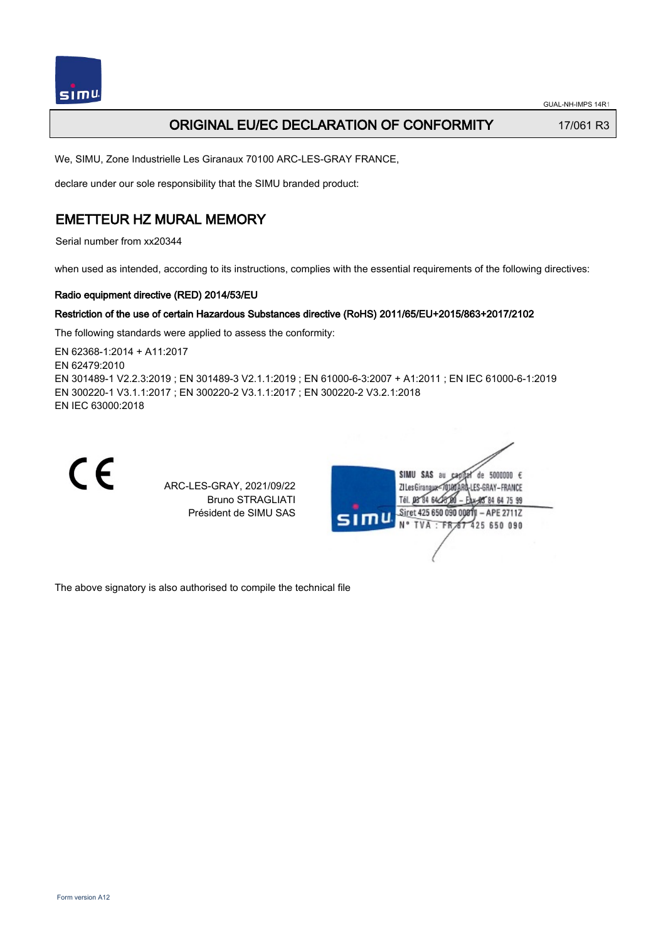

## **ORIGINAL EU/EC DECLARATION OF CONFORMITY** 17/061 R3

We, SIMU, Zone Industrielle Les Giranaux 70100 ARC-LES-GRAY FRANCE,

declare under our sole responsibility that the SIMU branded product:

## EMETTEUR HZ MURAL MEMORY

Serial number from xx20344

when used as intended, according to its instructions, complies with the essential requirements of the following directives:

### Radio equipment directive (RED) 2014/53/EU

### Restriction of the use of certain Hazardous Substances directive (RoHS) 2011/65/EU+2015/863+2017/2102

The following standards were applied to assess the conformity:

EN 62368‑1:2014 + A11:2017 EN 62479:2010 EN 301489‑1 V2.2.3:2019 ; EN 301489‑3 V2.1.1:2019 ; EN 61000‑6‑3:2007 + A1:2011 ; EN IEC 61000‑6‑1:2019 EN 300220‑1 V3.1.1:2017 ; EN 300220‑2 V3.1.1:2017 ; EN 300220‑2 V3.2.1:2018 EN IEC 63000:2018



ARC-LES-GRAY, 2021/09/22 Bruno STRAGLIATI Président de SIMU SAS



The above signatory is also authorised to compile the technical file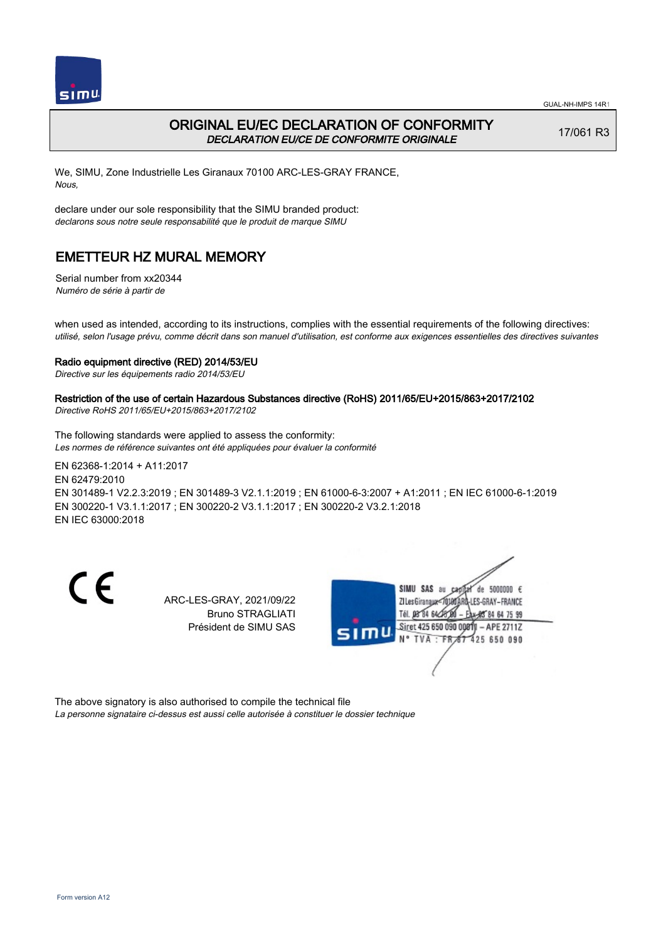

## ORIGINAL EU/EC DECLARATION OF CONFORMITY DECLARATION EU/CE DE CONFORMITE ORIGINALE

17/061 R3

We, SIMU, Zone Industrielle Les Giranaux 70100 ARC-LES-GRAY FRANCE, Nous,

declare under our sole responsibility that the SIMU branded product: declarons sous notre seule responsabilité que le produit de marque SIMU

## EMETTEUR HZ MURAL MEMORY

Serial number from xx20344 Numéro de série à partir de

when used as intended, according to its instructions, complies with the essential requirements of the following directives: utilisé, selon l'usage prévu, comme décrit dans son manuel d'utilisation, est conforme aux exigences essentielles des directives suivantes

#### Radio equipment directive (RED) 2014/53/EU

Directive sur les équipements radio 2014/53/EU

### Restriction of the use of certain Hazardous Substances directive (RoHS) 2011/65/EU+2015/863+2017/2102

Directive RoHS 2011/65/EU+2015/863+2017/2102

The following standards were applied to assess the conformity: Les normes de référence suivantes ont été appliquées pour évaluer la conformité

EN 62368‑1:2014 + A11:2017 EN 62479:2010 EN 301489‑1 V2.2.3:2019 ; EN 301489‑3 V2.1.1:2019 ; EN 61000‑6‑3:2007 + A1:2011 ; EN IEC 61000‑6‑1:2019 EN 300220‑1 V3.1.1:2017 ; EN 300220‑2 V3.1.1:2017 ; EN 300220‑2 V3.2.1:2018 EN IEC 63000:2018

CE

ARC-LES-GRAY, 2021/09/22 Bruno STRAGLIATI Président de SIMU SAS



The above signatory is also authorised to compile the technical file La personne signataire ci-dessus est aussi celle autorisée à constituer le dossier technique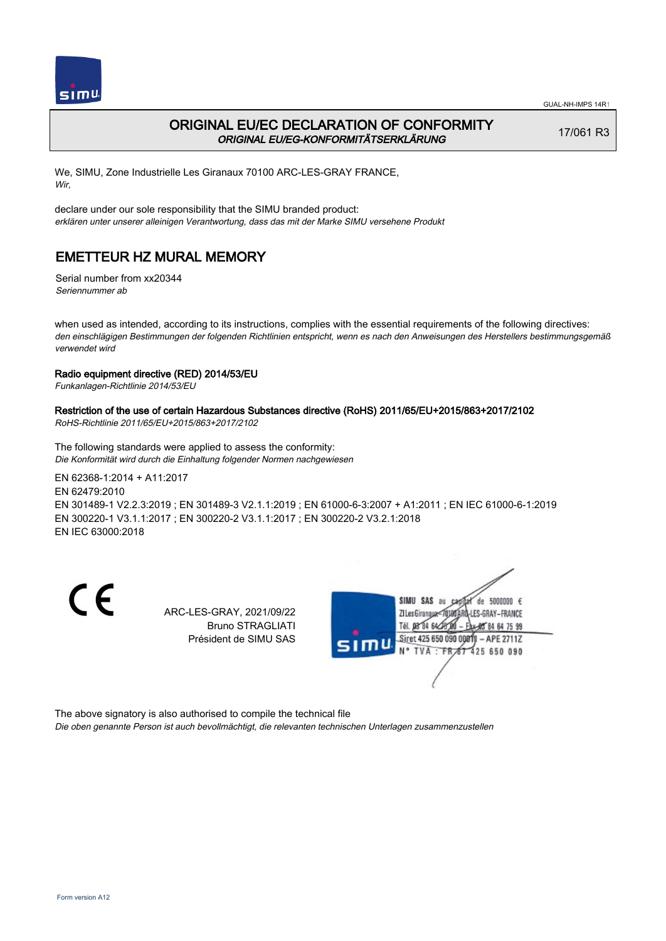

## ORIGINAL EU/EC DECLARATION OF CONFORMITY ORIGINAL EU/EG-KONFORMITÄTSERKLÄRUNG

17/061 R3

We, SIMU, Zone Industrielle Les Giranaux 70100 ARC-LES-GRAY FRANCE, Wir,

declare under our sole responsibility that the SIMU branded product: erklären unter unserer alleinigen Verantwortung, dass das mit der Marke SIMU versehene Produkt

# EMETTEUR HZ MURAL MEMORY

Serial number from xx20344 Seriennummer ab

when used as intended, according to its instructions, complies with the essential requirements of the following directives: den einschlägigen Bestimmungen der folgenden Richtlinien entspricht, wenn es nach den Anweisungen des Herstellers bestimmungsgemäß verwendet wird

### Radio equipment directive (RED) 2014/53/EU

Funkanlagen-Richtlinie 2014/53/EU

### Restriction of the use of certain Hazardous Substances directive (RoHS) 2011/65/EU+2015/863+2017/2102

RoHS-Richtlinie 2011/65/EU+2015/863+2017/2102

The following standards were applied to assess the conformity: Die Konformität wird durch die Einhaltung folgender Normen nachgewiesen

EN 62368‑1:2014 + A11:2017 EN 62479:2010 EN 301489‑1 V2.2.3:2019 ; EN 301489‑3 V2.1.1:2019 ; EN 61000‑6‑3:2007 + A1:2011 ; EN IEC 61000‑6‑1:2019 EN 300220‑1 V3.1.1:2017 ; EN 300220‑2 V3.1.1:2017 ; EN 300220‑2 V3.2.1:2018 EN IEC 63000:2018

CE

ARC-LES-GRAY, 2021/09/22 Bruno STRAGLIATI Président de SIMU SAS



The above signatory is also authorised to compile the technical file

Die oben genannte Person ist auch bevollmächtigt, die relevanten technischen Unterlagen zusammenzustellen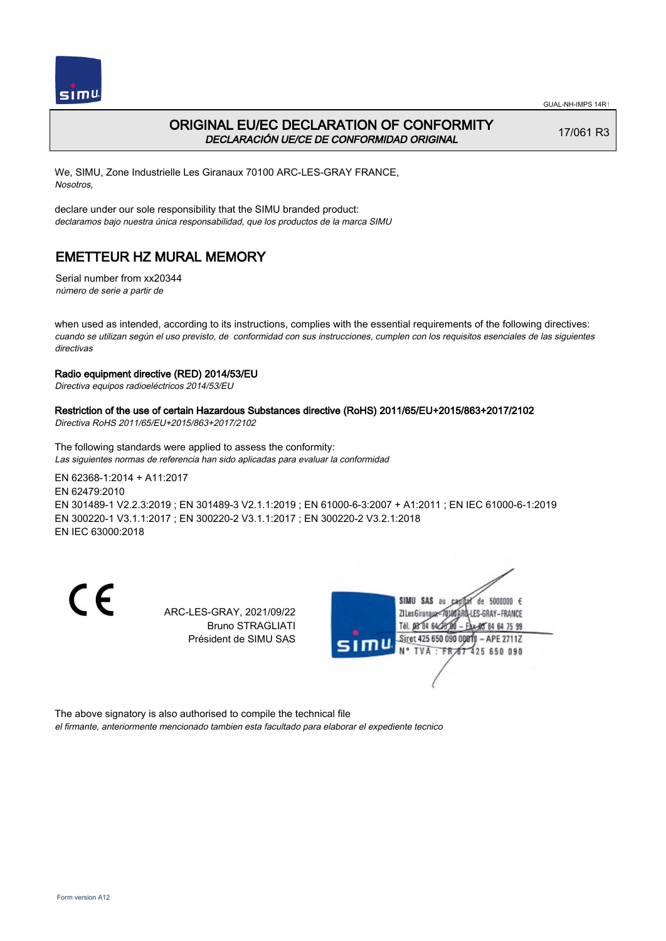



## ORIGINAL EU/EC DECLARATION OF CONFORMITY DECLARACIÓN UE/CE DE CONFORMIDAD ORIGINAL

17/061 R3

We, SIMU, Zone Industrielle Les Giranaux 70100 ARC-LES-GRAY FRANCE, Nosotros,

declare under our sole responsibility that the SIMU branded product: declaramos bajo nuestra única responsabilidad, que los productos de la marca SIMU

## EMETTEUR HZ MURAL MEMORY

Serial number from xx20344 número de serie a partir de

when used as intended, according to its instructions, complies with the essential requirements of the following directives: cuando se utilizan según el uso previsto, de conformidad con sus instrucciones, cumplen con los requisitos esenciales de las siguientes directivas

### Radio equipment directive (RED) 2014/53/EU

Directiva equipos radioeléctricos 2014/53/EU

### Restriction of the use of certain Hazardous Substances directive (RoHS) 2011/65/EU+2015/863+2017/2102

Directiva RoHS 2011/65/EU+2015/863+2017/2102

The following standards were applied to assess the conformity: Las siguientes normas de referencia han sido aplicadas para evaluar la conformidad

EN 62368‑1:2014 + A11:2017 EN 62479:2010 EN 301489‑1 V2.2.3:2019 ; EN 301489‑3 V2.1.1:2019 ; EN 61000‑6‑3:2007 + A1:2011 ; EN IEC 61000‑6‑1:2019 EN 300220‑1 V3.1.1:2017 ; EN 300220‑2 V3.1.1:2017 ; EN 300220‑2 V3.2.1:2018 EN IEC 63000:2018

CE

ARC-LES-GRAY, 2021/09/22 Bruno STRAGLIATI Président de SIMU SAS



The above signatory is also authorised to compile the technical file

el firmante, anteriormente mencionado tambien esta facultado para elaborar el expediente tecnico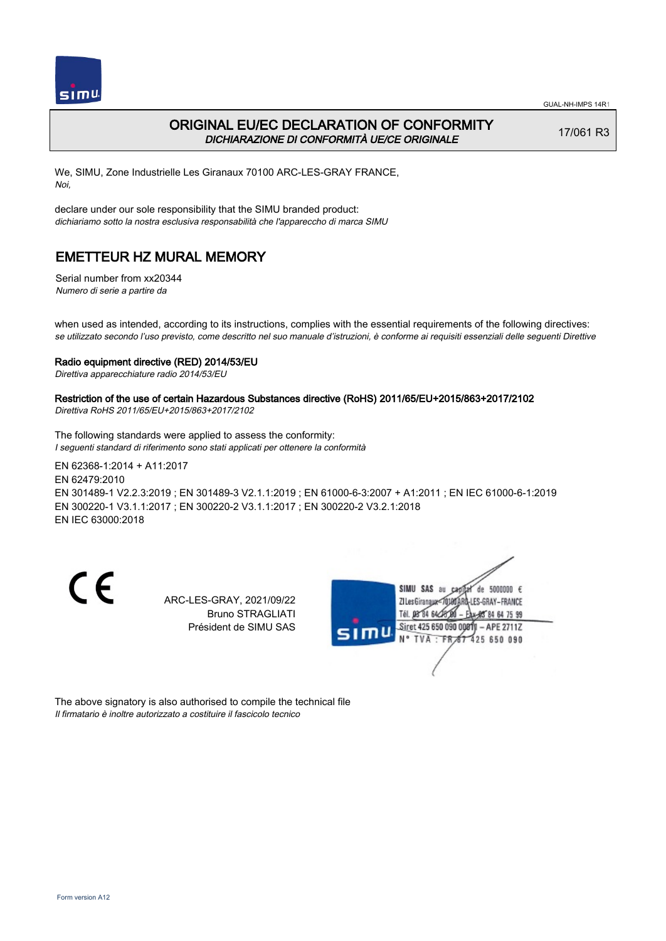

## ORIGINAL EU/EC DECLARATION OF CONFORMITY DICHIARAZIONE DI CONFORMITÀ UE/CE ORIGINALE

17/061 R3

We, SIMU, Zone Industrielle Les Giranaux 70100 ARC-LES-GRAY FRANCE, Noi,

declare under our sole responsibility that the SIMU branded product: dichiariamo sotto la nostra esclusiva responsabilità che l'appareccho di marca SIMU

## EMETTEUR HZ MURAL MEMORY

Serial number from xx20344 Numero di serie a partire da

when used as intended, according to its instructions, complies with the essential requirements of the following directives: se utilizzato secondo l'uso previsto, come descritto nel suo manuale d'istruzioni, è conforme ai requisiti essenziali delle seguenti Direttive

#### Radio equipment directive (RED) 2014/53/EU

Direttiva apparecchiature radio 2014/53/EU

### Restriction of the use of certain Hazardous Substances directive (RoHS) 2011/65/EU+2015/863+2017/2102

Direttiva RoHS 2011/65/EU+2015/863+2017/2102

The following standards were applied to assess the conformity: I seguenti standard di riferimento sono stati applicati per ottenere la conformità

EN 62368‑1:2014 + A11:2017 EN 62479:2010 EN 301489‑1 V2.2.3:2019 ; EN 301489‑3 V2.1.1:2019 ; EN 61000‑6‑3:2007 + A1:2011 ; EN IEC 61000‑6‑1:2019 EN 300220‑1 V3.1.1:2017 ; EN 300220‑2 V3.1.1:2017 ; EN 300220‑2 V3.2.1:2018 EN IEC 63000:2018

CE

ARC-LES-GRAY, 2021/09/22 Bruno STRAGLIATI Président de SIMU SAS



The above signatory is also authorised to compile the technical file Il firmatario è inoltre autorizzato a costituire il fascicolo tecnico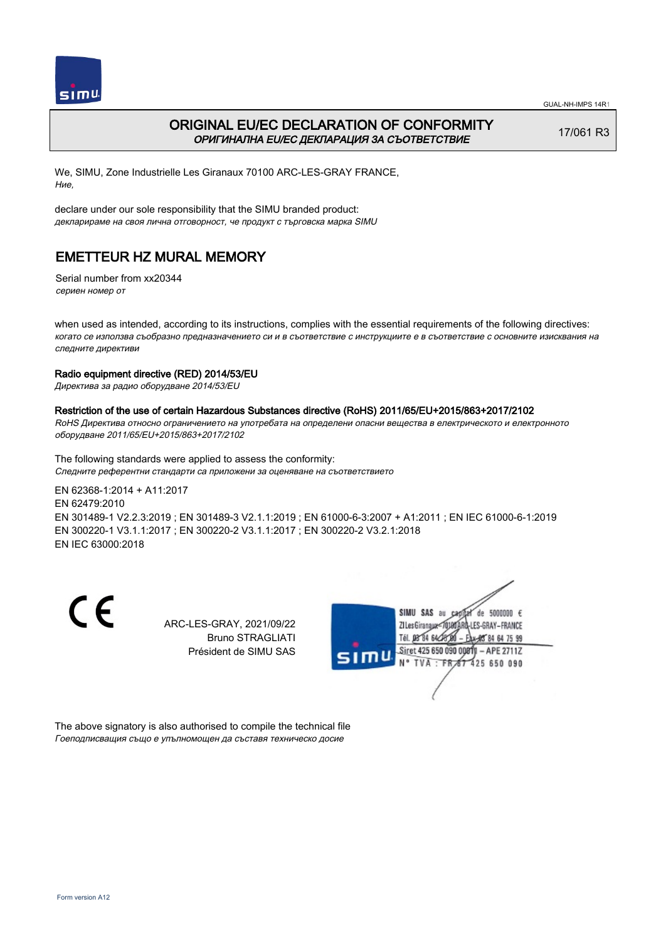

## ORIGINAL EU/EC DECLARATION OF CONFORMITY ОРИГИНАЛНА EU/EC ДЕКЛАРАЦИЯ ЗА СЪОТВЕТСТВИЕ

17/061 R3

We, SIMU, Zone Industrielle Les Giranaux 70100 ARC-LES-GRAY FRANCE, Ние,

declare under our sole responsibility that the SIMU branded product: декларираме на своя лична отговорност, че продукт с търговска марка SIMU

# EMETTEUR HZ MURAL MEMORY

Serial number from xx20344 сериен номер от

when used as intended, according to its instructions, complies with the essential requirements of the following directives: когато се използва съобразно предназначението си и в съответствие с инструкциите е в съответствие с основните изисквания на следните директиви

### Radio equipment directive (RED) 2014/53/EU

Директива за радио оборудване 2014/53/EU

### Restriction of the use of certain Hazardous Substances directive (RoHS) 2011/65/EU+2015/863+2017/2102

RoHS Директива относно ограничението на употребата на определени опасни вещества в електрическото и електронното оборудване 2011/65/EU+2015/863+2017/2102

The following standards were applied to assess the conformity: Следните референтни стандарти са приложени за оценяване на съответствието

EN 62368‑1:2014 + A11:2017 EN 62479:2010 EN 301489‑1 V2.2.3:2019 ; EN 301489‑3 V2.1.1:2019 ; EN 61000‑6‑3:2007 + A1:2011 ; EN IEC 61000‑6‑1:2019 EN 300220‑1 V3.1.1:2017 ; EN 300220‑2 V3.1.1:2017 ; EN 300220‑2 V3.2.1:2018 EN IEC 63000:2018

CE

ARC-LES-GRAY, 2021/09/22 Bruno STRAGLIATI Président de SIMU SAS



The above signatory is also authorised to compile the technical file Гоеподписващия също е упълномощен да съставя техническо досие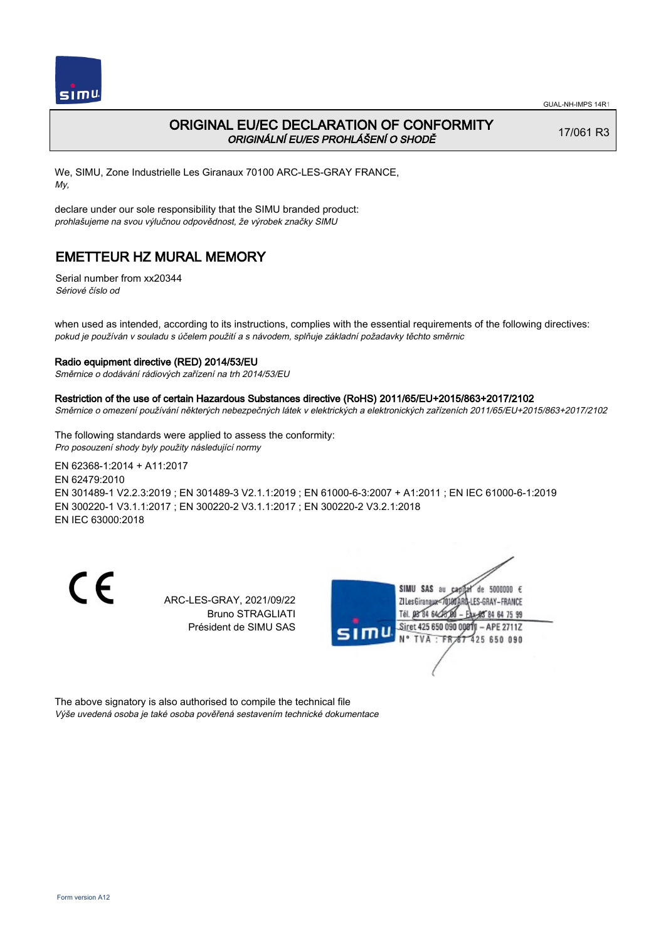

### ORIGINAL EU/EC DECLARATION OF CONFORMITY ORIGINÁLNÍ EU/ES PROHLÁŠENÍ O SHODĚ

17/061 R3

We, SIMU, Zone Industrielle Les Giranaux 70100 ARC-LES-GRAY FRANCE, My,

declare under our sole responsibility that the SIMU branded product: prohlašujeme na svou výlučnou odpovědnost, že výrobek značky SIMU

## EMETTEUR HZ MURAL MEMORY

Serial number from xx20344 Sériové číslo od

when used as intended, according to its instructions, complies with the essential requirements of the following directives: pokud je používán v souladu s účelem použití a s návodem, splňuje základní požadavky těchto směrnic

#### Radio equipment directive (RED) 2014/53/EU

Směrnice o dodávání rádiových zařízení na trh 2014/53/EU

#### Restriction of the use of certain Hazardous Substances directive (RoHS) 2011/65/EU+2015/863+2017/2102

Směrnice o omezení používání některých nebezpečných látek v elektrických a elektronických zařízeních 2011/65/EU+2015/863+2017/2102

The following standards were applied to assess the conformity: Pro posouzení shody byly použity následující normy

EN 62368‑1:2014 + A11:2017 EN 62479:2010 EN 301489‑1 V2.2.3:2019 ; EN 301489‑3 V2.1.1:2019 ; EN 61000‑6‑3:2007 + A1:2011 ; EN IEC 61000‑6‑1:2019 EN 300220‑1 V3.1.1:2017 ; EN 300220‑2 V3.1.1:2017 ; EN 300220‑2 V3.2.1:2018 EN IEC 63000:2018

CE

ARC-LES-GRAY, 2021/09/22 Bruno STRAGLIATI Président de SIMU SAS



The above signatory is also authorised to compile the technical file Výše uvedená osoba je také osoba pověřená sestavením technické dokumentace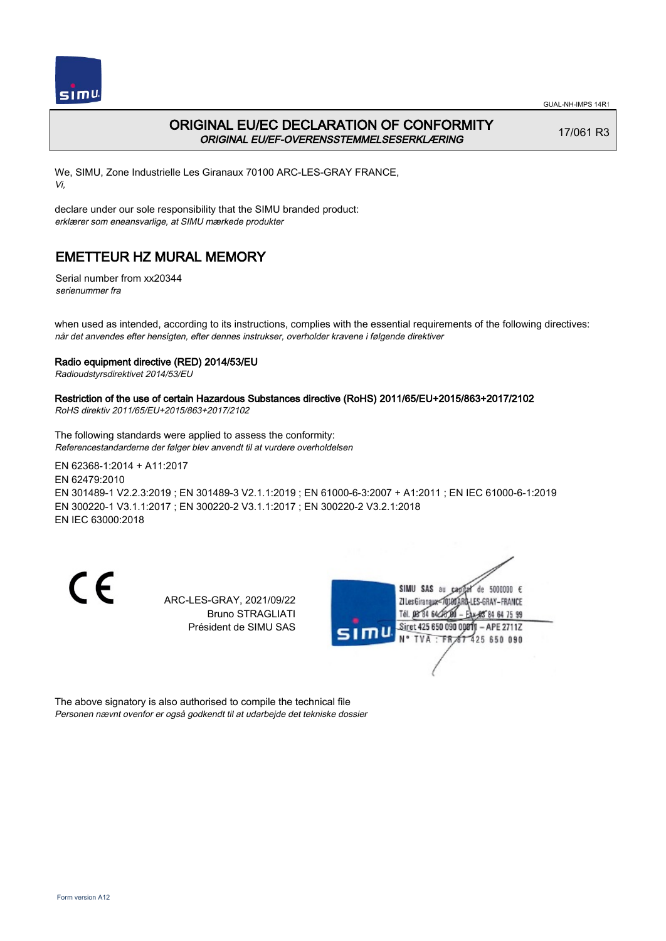

## ORIGINAL EU/EC DECLARATION OF CONFORMITY ORIGINAL EU/EF-OVERENSSTEMMELSESERKLÆRING

17/061 R3

We, SIMU, Zone Industrielle Les Giranaux 70100 ARC-LES-GRAY FRANCE, Vi,

declare under our sole responsibility that the SIMU branded product: erklærer som eneansvarlige, at SIMU mærkede produkter

# EMETTEUR HZ MURAL MEMORY

Serial number from xx20344 serienummer fra

when used as intended, according to its instructions, complies with the essential requirements of the following directives: når det anvendes efter hensigten, efter dennes instrukser, overholder kravene i følgende direktiver

### Radio equipment directive (RED) 2014/53/EU

Radioudstyrsdirektivet 2014/53/EU

### Restriction of the use of certain Hazardous Substances directive (RoHS) 2011/65/EU+2015/863+2017/2102

RoHS direktiv 2011/65/EU+2015/863+2017/2102

The following standards were applied to assess the conformity: Referencestandarderne der følger blev anvendt til at vurdere overholdelsen

EN 62368‑1:2014 + A11:2017 EN 62479:2010 EN 301489‑1 V2.2.3:2019 ; EN 301489‑3 V2.1.1:2019 ; EN 61000‑6‑3:2007 + A1:2011 ; EN IEC 61000‑6‑1:2019 EN 300220‑1 V3.1.1:2017 ; EN 300220‑2 V3.1.1:2017 ; EN 300220‑2 V3.2.1:2018 EN IEC 63000:2018

CE

ARC-LES-GRAY, 2021/09/22 Bruno STRAGLIATI Président de SIMU SAS



The above signatory is also authorised to compile the technical file Personen nævnt ovenfor er også godkendt til at udarbejde det tekniske dossier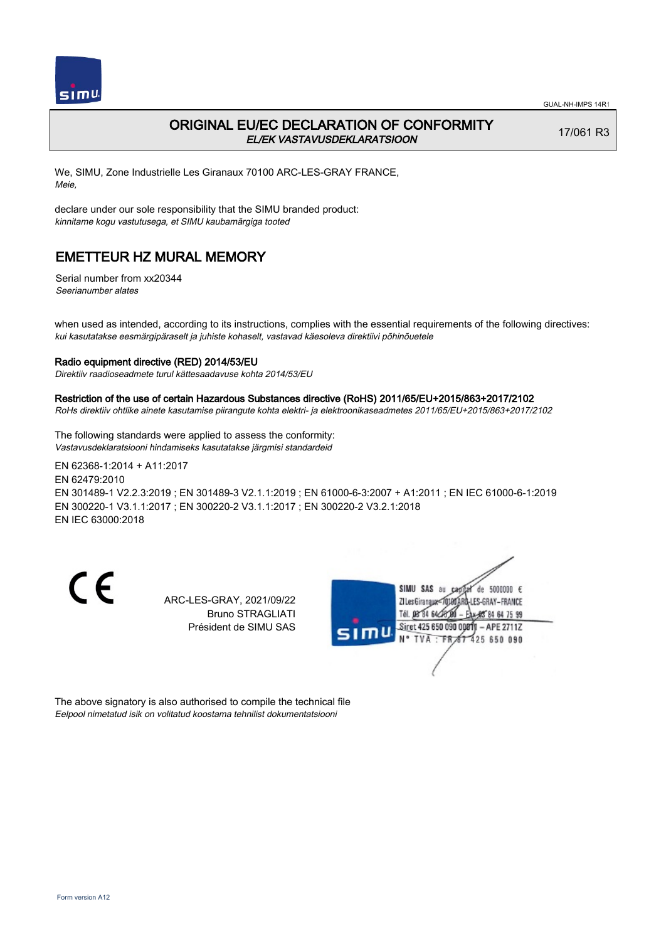

### ORIGINAL EU/EC DECLARATION OF CONFORMITY EL/EK VASTAVUSDEKLARATSIOON

17/061 R3

We, SIMU, Zone Industrielle Les Giranaux 70100 ARC-LES-GRAY FRANCE, Meie,

declare under our sole responsibility that the SIMU branded product: kinnitame kogu vastutusega, et SIMU kaubamärgiga tooted

## EMETTEUR HZ MURAL MEMORY

Serial number from xx20344 Seerianumber alates

when used as intended, according to its instructions, complies with the essential requirements of the following directives: kui kasutatakse eesmärgipäraselt ja juhiste kohaselt, vastavad käesoleva direktiivi põhinõuetele

#### Radio equipment directive (RED) 2014/53/EU

Direktiiv raadioseadmete turul kättesaadavuse kohta 2014/53/EU

#### Restriction of the use of certain Hazardous Substances directive (RoHS) 2011/65/EU+2015/863+2017/2102

RoHs direktiiv ohtlike ainete kasutamise piirangute kohta elektri- ja elektroonikaseadmetes 2011/65/EU+2015/863+2017/2102

The following standards were applied to assess the conformity: Vastavusdeklaratsiooni hindamiseks kasutatakse järgmisi standardeid

EN 62368‑1:2014 + A11:2017 EN 62479:2010 EN 301489‑1 V2.2.3:2019 ; EN 301489‑3 V2.1.1:2019 ; EN 61000‑6‑3:2007 + A1:2011 ; EN IEC 61000‑6‑1:2019 EN 300220‑1 V3.1.1:2017 ; EN 300220‑2 V3.1.1:2017 ; EN 300220‑2 V3.2.1:2018 EN IEC 63000:2018

CE

ARC-LES-GRAY, 2021/09/22 Bruno STRAGLIATI Président de SIMU SAS



The above signatory is also authorised to compile the technical file Eelpool nimetatud isik on volitatud koostama tehnilist dokumentatsiooni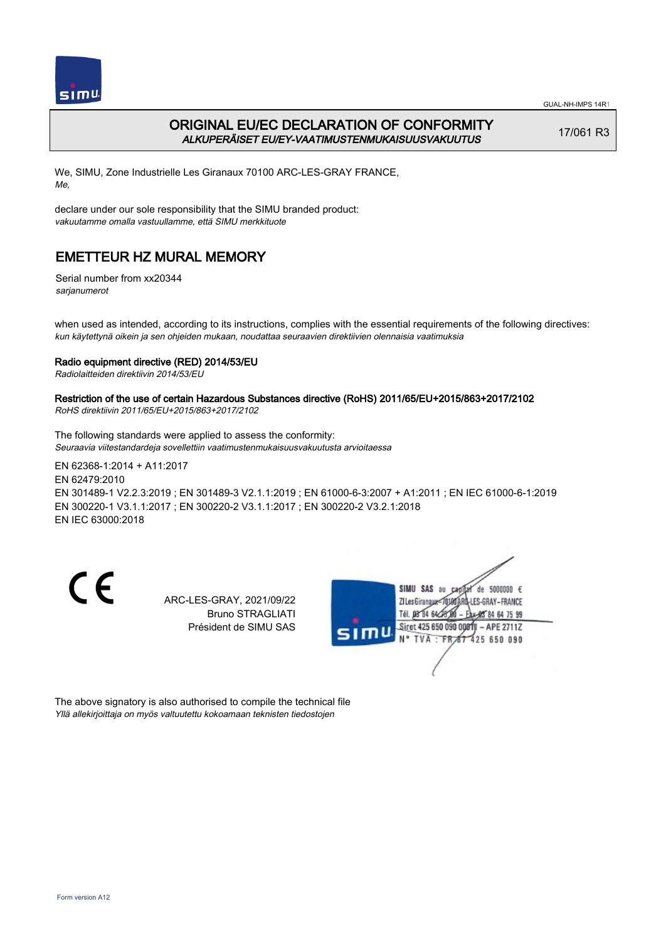

## ORIGINAL EU/EC DECLARATION OF CONFORMITY ALKUPERÄISET EU/EY-VAATIMUSTENMUKAISUUSVAKUUTUS

17/061 R3

We, SIMU, Zone Industrielle Les Giranaux 70100 ARC-LES-GRAY FRANCE, Me,

declare under our sole responsibility that the SIMU branded product: vakuutamme omalla vastuullamme, että SIMU merkkituote

# EMETTEUR HZ MURAL MEMORY

Serial number from xx20344 sarjanumerot

when used as intended, according to its instructions, complies with the essential requirements of the following directives: kun käytettynä oikein ja sen ohjeiden mukaan, noudattaa seuraavien direktiivien olennaisia vaatimuksia

### Radio equipment directive (RED) 2014/53/EU

Radiolaitteiden direktiivin 2014/53/EU

## Restriction of the use of certain Hazardous Substances directive (RoHS) 2011/65/EU+2015/863+2017/2102

RoHS direktiivin 2011/65/EU+2015/863+2017/2102

The following standards were applied to assess the conformity: Seuraavia viitestandardeja sovellettiin vaatimustenmukaisuusvakuutusta arvioitaessa

EN 62368‑1:2014 + A11:2017 EN 62479:2010 EN 301489‑1 V2.2.3:2019 ; EN 301489‑3 V2.1.1:2019 ; EN 61000‑6‑3:2007 + A1:2011 ; EN IEC 61000‑6‑1:2019 EN 300220‑1 V3.1.1:2017 ; EN 300220‑2 V3.1.1:2017 ; EN 300220‑2 V3.2.1:2018 EN IEC 63000:2018

CE

ARC-LES-GRAY, 2021/09/22 Bruno STRAGLIATI Président de SIMU SAS



The above signatory is also authorised to compile the technical file Yllä allekirjoittaja on myös valtuutettu kokoamaan teknisten tiedostojen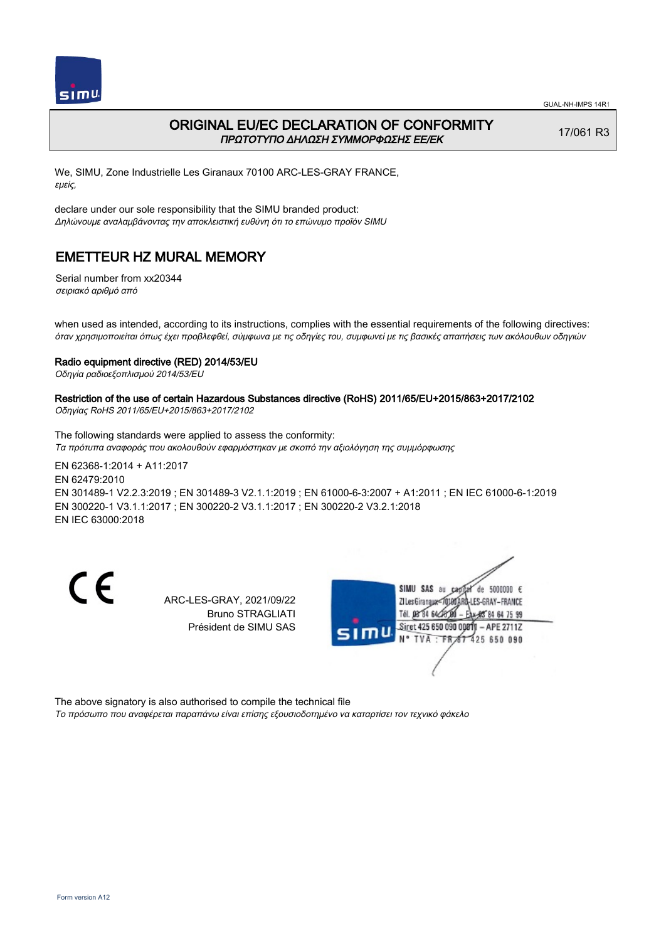

### ORIGINAL EU/EC DECLARATION OF CONFORMITY ΠΡΩΤΟΤΥΠΟ ΔΗΛΩΣΗ ΣΥΜΜΟΡΦΩΣΗΣ ΕΕ/EK

17/061 R3

We, SIMU, Zone Industrielle Les Giranaux 70100 ARC-LES-GRAY FRANCE, εμείς,

declare under our sole responsibility that the SIMU branded product: Δηλώνουμε αναλαμβάνοντας την αποκλειστική ευθύνη ότι το επώνυμο προϊόν SIMU

## EMETTEUR HZ MURAL MEMORY

Serial number from xx20344 σειριακό αριθμό από

when used as intended, according to its instructions, complies with the essential requirements of the following directives: όταν χρησιμοποιείται όπως έχει προβλεφθεί, σύμφωνα με τις οδηγίες του, συμφωνεί με τις βασικές απαιτήσεις των ακόλουθων οδηγιών

#### Radio equipment directive (RED) 2014/53/EU

Οδηγία ραδιοεξοπλισμού 2014/53/EU

# Restriction of the use of certain Hazardous Substances directive (RoHS) 2011/65/EU+2015/863+2017/2102

Οδηγίας RoHS 2011/65/EU+2015/863+2017/2102

The following standards were applied to assess the conformity: Τα πρότυπα αναφοράς που ακολουθούν εφαρμόστηκαν με σκοπό την αξιολόγηση της συμμόρφωσης

EN 62368‑1:2014 + A11:2017 EN 62479:2010 EN 301489‑1 V2.2.3:2019 ; EN 301489‑3 V2.1.1:2019 ; EN 61000‑6‑3:2007 + A1:2011 ; EN IEC 61000‑6‑1:2019 EN 300220‑1 V3.1.1:2017 ; EN 300220‑2 V3.1.1:2017 ; EN 300220‑2 V3.2.1:2018 EN IEC 63000:2018

CE

ARC-LES-GRAY, 2021/09/22 Bruno STRAGLIATI Président de SIMU SAS



The above signatory is also authorised to compile the technical file Το πρόσωπο που αναφέρεται παραπάνω είναι επίσης εξουσιοδοτημένο να καταρτίσει τον τεχνικό φάκελο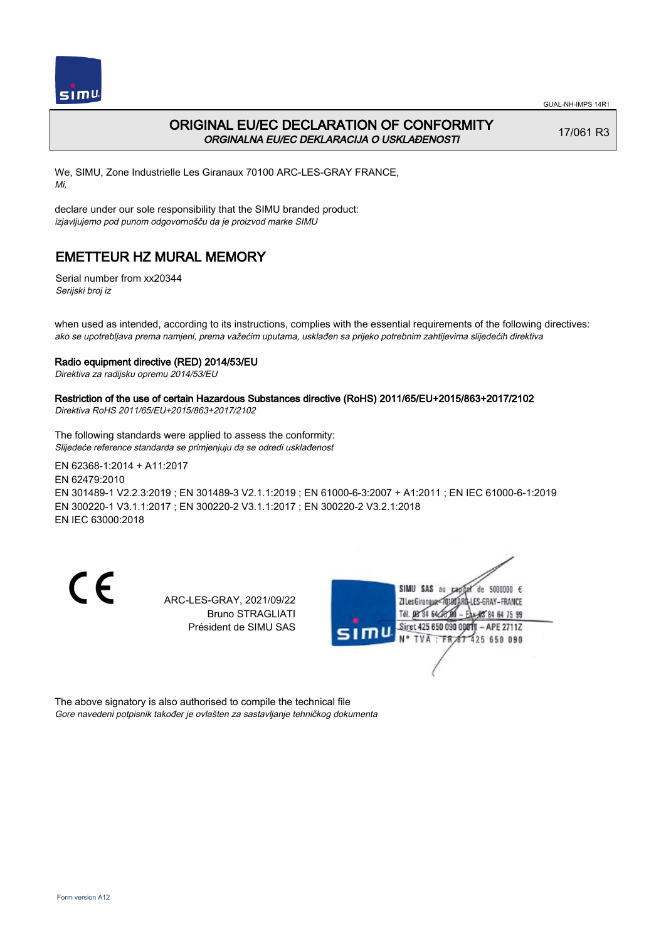

## ORIGINAL EU/EC DECLARATION OF CONFORMITY ORGINALNA EU/EC DEKLARACIJA O USKLAĐENOSTI

17/061 R3

We, SIMU, Zone Industrielle Les Giranaux 70100 ARC-LES-GRAY FRANCE, Mi,

declare under our sole responsibility that the SIMU branded product: izjavljujemo pod punom odgovornošču da je proizvod marke SIMU

# EMETTEUR HZ MURAL MEMORY

Serial number from xx20344 Serijski broj iz

when used as intended, according to its instructions, complies with the essential requirements of the following directives: ako se upotrebljava prema namjeni, prema važećim uputama, usklađen sa prijeko potrebnim zahtijevima slijedećih direktiva

### Radio equipment directive (RED) 2014/53/EU

Direktiva za radijsku opremu 2014/53/EU

## Restriction of the use of certain Hazardous Substances directive (RoHS) 2011/65/EU+2015/863+2017/2102

Direktiva RoHS 2011/65/EU+2015/863+2017/2102

The following standards were applied to assess the conformity: Slijedeće reference standarda se primjenjuju da se odredi usklađenost

EN 62368‑1:2014 + A11:2017 EN 62479:2010 EN 301489‑1 V2.2.3:2019 ; EN 301489‑3 V2.1.1:2019 ; EN 61000‑6‑3:2007 + A1:2011 ; EN IEC 61000‑6‑1:2019 EN 300220‑1 V3.1.1:2017 ; EN 300220‑2 V3.1.1:2017 ; EN 300220‑2 V3.2.1:2018 EN IEC 63000:2018

CE

ARC-LES-GRAY, 2021/09/22 Bruno STRAGLIATI Président de SIMU SAS



The above signatory is also authorised to compile the technical file Gore navedeni potpisnik također je ovlašten za sastavljanje tehničkog dokumenta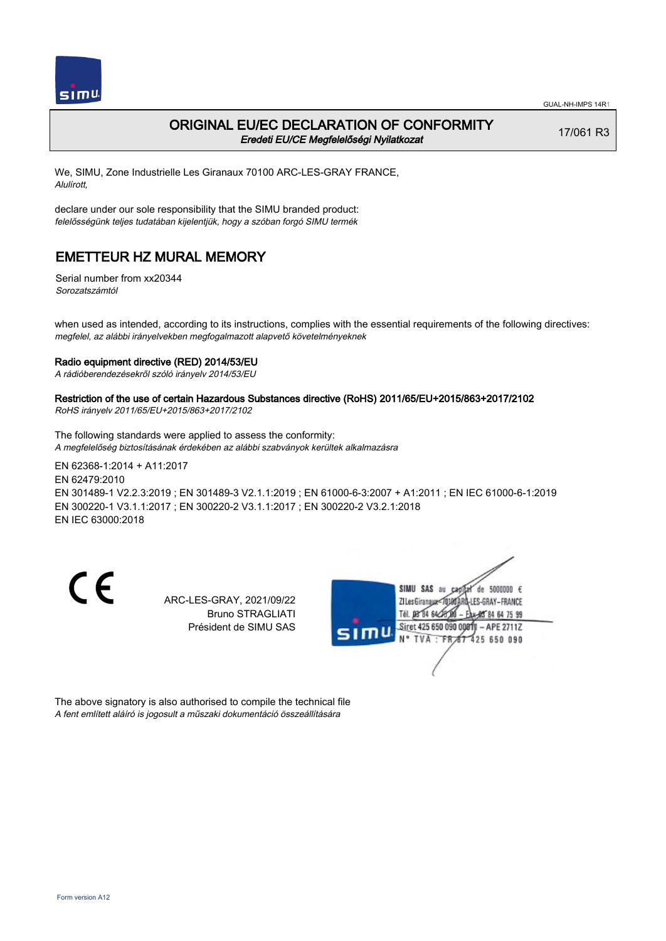

### ORIGINAL EU/EC DECLARATION OF CONFORMITY Eredeti EU/CE Megfelelőségi Nyilatkozat

17/061 R3

We, SIMU, Zone Industrielle Les Giranaux 70100 ARC-LES-GRAY FRANCE, Alulírott,

declare under our sole responsibility that the SIMU branded product: felelősségünk teljes tudatában kijelentjük, hogy a szóban forgó SIMU termék

## EMETTEUR HZ MURAL MEMORY

Serial number from xx20344 Sorozatszámtól

when used as intended, according to its instructions, complies with the essential requirements of the following directives: megfelel, az alábbi irányelvekben megfogalmazott alapvető követelményeknek

#### Radio equipment directive (RED) 2014/53/EU

A rádióberendezésekről szóló irányelv 2014/53/EU

#### Restriction of the use of certain Hazardous Substances directive (RoHS) 2011/65/EU+2015/863+2017/2102

RoHS irányelv 2011/65/EU+2015/863+2017/2102

The following standards were applied to assess the conformity: A megfelelőség biztosításának érdekében az alábbi szabványok kerültek alkalmazásra

EN 62368‑1:2014 + A11:2017 EN 62479:2010 EN 301489‑1 V2.2.3:2019 ; EN 301489‑3 V2.1.1:2019 ; EN 61000‑6‑3:2007 + A1:2011 ; EN IEC 61000‑6‑1:2019 EN 300220‑1 V3.1.1:2017 ; EN 300220‑2 V3.1.1:2017 ; EN 300220‑2 V3.2.1:2018 EN IEC 63000:2018

CE

ARC-LES-GRAY, 2021/09/22 Bruno STRAGLIATI Président de SIMU SAS



The above signatory is also authorised to compile the technical file A fent említett aláíró is jogosult a műszaki dokumentáció összeállítására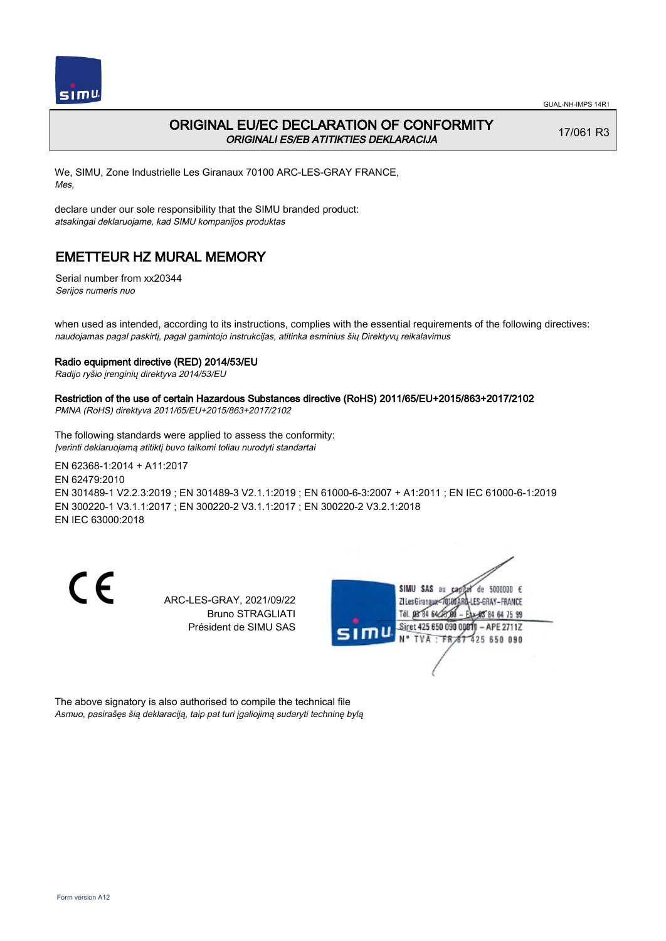

### ORIGINAL EU/EC DECLARATION OF CONFORMITY ORIGINALI ES/EB ATITIKTIES DEKLARACIJA

17/061 R3

We, SIMU, Zone Industrielle Les Giranaux 70100 ARC-LES-GRAY FRANCE, Mes,

declare under our sole responsibility that the SIMU branded product: atsakingai deklaruojame, kad SIMU kompanijos produktas

## EMETTEUR HZ MURAL MEMORY

Serial number from xx20344 Serijos numeris nuo

when used as intended, according to its instructions, complies with the essential requirements of the following directives: naudojamas pagal paskirtį, pagal gamintojo instrukcijas, atitinka esminius šių Direktyvų reikalavimus

#### Radio equipment directive (RED) 2014/53/EU

Radijo ryšio įrenginių direktyva 2014/53/EU

## Restriction of the use of certain Hazardous Substances directive (RoHS) 2011/65/EU+2015/863+2017/2102

PMNA (RoHS) direktyva 2011/65/EU+2015/863+2017/2102

The following standards were applied to assess the conformity: Įverinti deklaruojamą atitiktį buvo taikomi toliau nurodyti standartai

EN 62368‑1:2014 + A11:2017 EN 62479:2010 EN 301489‑1 V2.2.3:2019 ; EN 301489‑3 V2.1.1:2019 ; EN 61000‑6‑3:2007 + A1:2011 ; EN IEC 61000‑6‑1:2019 EN 300220‑1 V3.1.1:2017 ; EN 300220‑2 V3.1.1:2017 ; EN 300220‑2 V3.2.1:2018 EN IEC 63000:2018

CE

ARC-LES-GRAY, 2021/09/22 Bruno STRAGLIATI Président de SIMU SAS



The above signatory is also authorised to compile the technical file Asmuo, pasirašęs šią deklaraciją, taip pat turi įgaliojimą sudaryti techninę bylą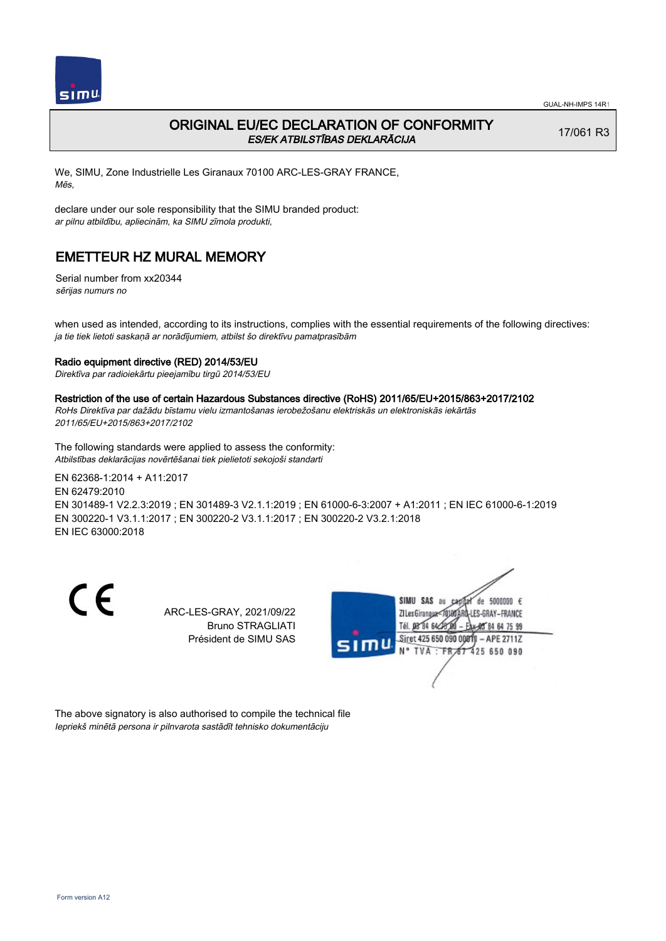

## ORIGINAL EU/EC DECLARATION OF CONFORMITY ES/EK ATBILSTĪBAS DEKLARĀCIJA

17/061 R3

We, SIMU, Zone Industrielle Les Giranaux 70100 ARC-LES-GRAY FRANCE, Mēs,

declare under our sole responsibility that the SIMU branded product: ar pilnu atbildību, apliecinām, ka SIMU zīmola produkti,

# EMETTEUR HZ MURAL MEMORY

Serial number from xx20344 sērijas numurs no

when used as intended, according to its instructions, complies with the essential requirements of the following directives: ja tie tiek lietoti saskaņā ar norādījumiem, atbilst šo direktīvu pamatprasībām

### Radio equipment directive (RED) 2014/53/EU

Direktīva par radioiekārtu pieejamību tirgū 2014/53/EU

#### Restriction of the use of certain Hazardous Substances directive (RoHS) 2011/65/EU+2015/863+2017/2102

RoHs Direktīva par dažādu bīstamu vielu izmantošanas ierobežošanu elektriskās un elektroniskās iekārtās 2011/65/EU+2015/863+2017/2102

The following standards were applied to assess the conformity: Atbilstības deklarācijas novērtēšanai tiek pielietoti sekojoši standarti

EN 62368‑1:2014 + A11:2017 EN 62479:2010 EN 301489‑1 V2.2.3:2019 ; EN 301489‑3 V2.1.1:2019 ; EN 61000‑6‑3:2007 + A1:2011 ; EN IEC 61000‑6‑1:2019 EN 300220‑1 V3.1.1:2017 ; EN 300220‑2 V3.1.1:2017 ; EN 300220‑2 V3.2.1:2018 EN IEC 63000:2018

CE

ARC-LES-GRAY, 2021/09/22 Bruno STRAGLIATI Président de SIMU SAS



The above signatory is also authorised to compile the technical file Iepriekš minētā persona ir pilnvarota sastādīt tehnisko dokumentāciju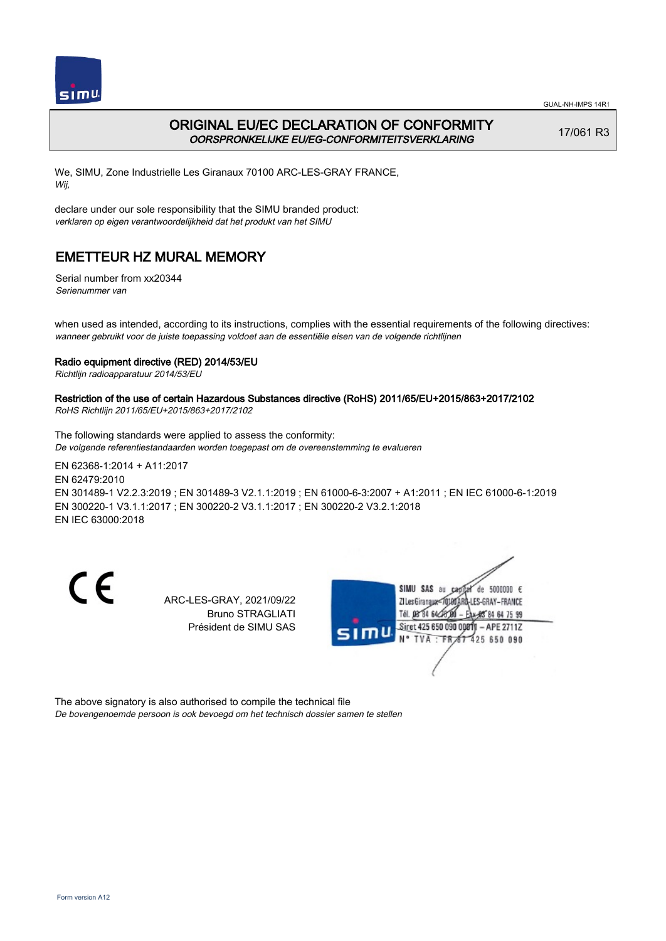

## ORIGINAL EU/EC DECLARATION OF CONFORMITY OORSPRONKELIJKE EU/EG-CONFORMITEITSVERKLARING

17/061 R3

We, SIMU, Zone Industrielle Les Giranaux 70100 ARC-LES-GRAY FRANCE, Wij,

declare under our sole responsibility that the SIMU branded product: verklaren op eigen verantwoordelijkheid dat het produkt van het SIMU

# EMETTEUR HZ MURAL MEMORY

Serial number from xx20344 Serienummer van

when used as intended, according to its instructions, complies with the essential requirements of the following directives: wanneer gebruikt voor de juiste toepassing voldoet aan de essentiële eisen van de volgende richtlijnen

### Radio equipment directive (RED) 2014/53/EU

Richtlijn radioapparatuur 2014/53/EU

## Restriction of the use of certain Hazardous Substances directive (RoHS) 2011/65/EU+2015/863+2017/2102

RoHS Richtlijn 2011/65/EU+2015/863+2017/2102

The following standards were applied to assess the conformity: De volgende referentiestandaarden worden toegepast om de overeenstemming te evalueren

EN 62368‑1:2014 + A11:2017 EN 62479:2010 EN 301489‑1 V2.2.3:2019 ; EN 301489‑3 V2.1.1:2019 ; EN 61000‑6‑3:2007 + A1:2011 ; EN IEC 61000‑6‑1:2019 EN 300220‑1 V3.1.1:2017 ; EN 300220‑2 V3.1.1:2017 ; EN 300220‑2 V3.2.1:2018 EN IEC 63000:2018

CE

ARC-LES-GRAY, 2021/09/22 Bruno STRAGLIATI Président de SIMU SAS



The above signatory is also authorised to compile the technical file De bovengenoemde persoon is ook bevoegd om het technisch dossier samen te stellen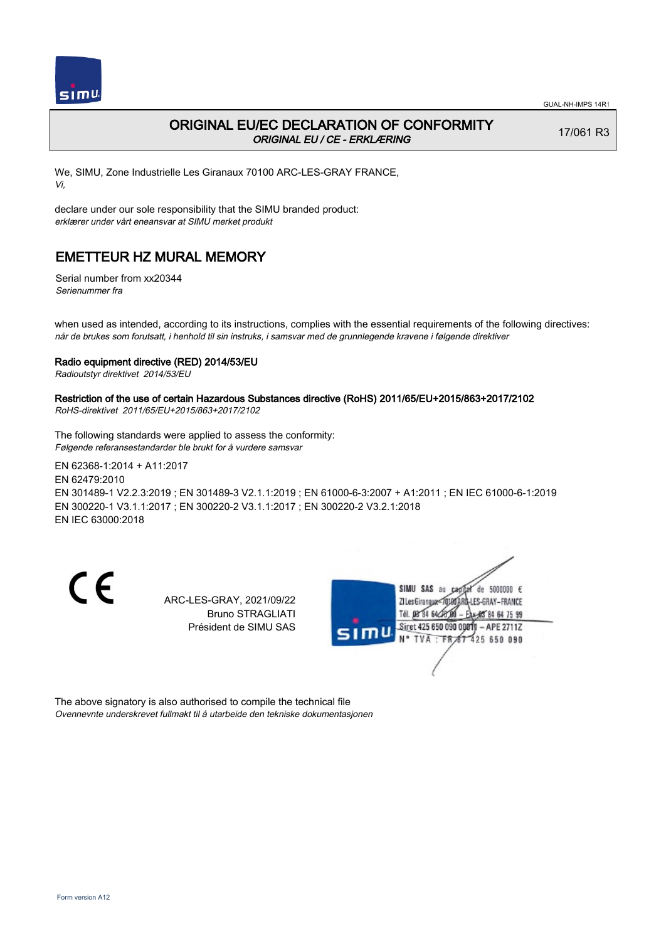

## ORIGINAL EU/EC DECLARATION OF CONFORMITY ORIGINAL EU / CE - ERKLÆRING

17/061 R3

We, SIMU, Zone Industrielle Les Giranaux 70100 ARC-LES-GRAY FRANCE, Vi,

declare under our sole responsibility that the SIMU branded product: erklærer under vårt eneansvar at SIMU merket produkt

## EMETTEUR HZ MURAL MEMORY

Serial number from xx20344 Serienummer fra

when used as intended, according to its instructions, complies with the essential requirements of the following directives: når de brukes som forutsatt, i henhold til sin instruks, i samsvar med de grunnlegende kravene i følgende direktiver

#### Radio equipment directive (RED) 2014/53/EU

Radioutstyr direktivet 2014/53/EU

## Restriction of the use of certain Hazardous Substances directive (RoHS) 2011/65/EU+2015/863+2017/2102

RoHS-direktivet 2011/65/EU+2015/863+2017/2102

The following standards were applied to assess the conformity: Følgende referansestandarder ble brukt for å vurdere samsvar

EN 62368‑1:2014 + A11:2017 EN 62479:2010 EN 301489‑1 V2.2.3:2019 ; EN 301489‑3 V2.1.1:2019 ; EN 61000‑6‑3:2007 + A1:2011 ; EN IEC 61000‑6‑1:2019 EN 300220‑1 V3.1.1:2017 ; EN 300220‑2 V3.1.1:2017 ; EN 300220‑2 V3.2.1:2018 EN IEC 63000:2018

CE

ARC-LES-GRAY, 2021/09/22 Bruno STRAGLIATI Président de SIMU SAS



The above signatory is also authorised to compile the technical file Ovennevnte underskrevet fullmakt til å utarbeide den tekniske dokumentasjonen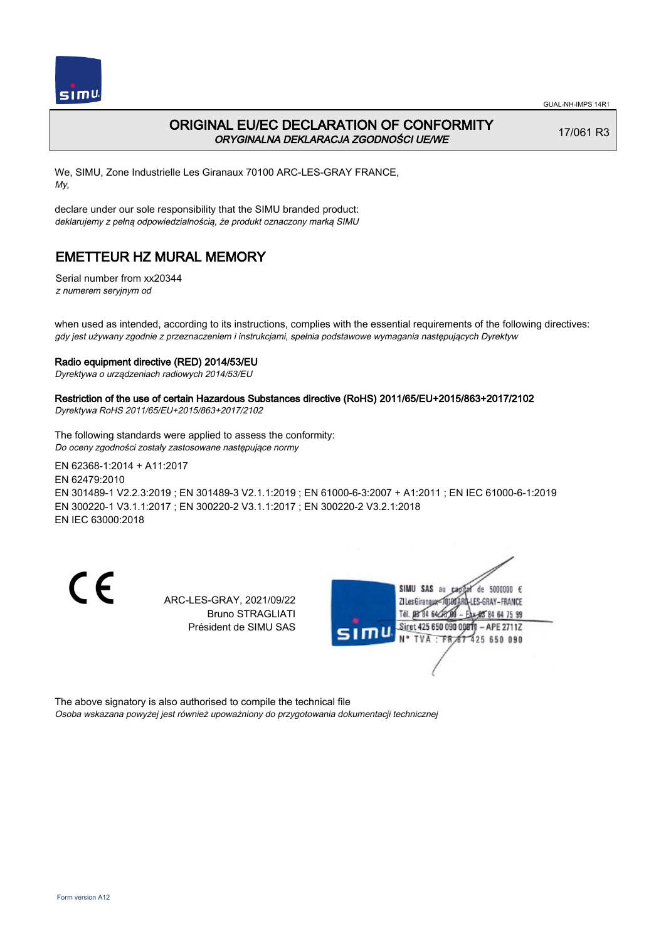

## ORIGINAL EU/EC DECLARATION OF CONFORMITY ORYGINALNA DEKLARACJA ZGODNOŚCI UE/WE

17/061 R3

We, SIMU, Zone Industrielle Les Giranaux 70100 ARC-LES-GRAY FRANCE, My,

declare under our sole responsibility that the SIMU branded product: deklarujemy z pełną odpowiedzialnością, że produkt oznaczony marką SIMU

# EMETTEUR HZ MURAL MEMORY

Serial number from xx20344 z numerem seryjnym od

when used as intended, according to its instructions, complies with the essential requirements of the following directives: gdy jest używany zgodnie z przeznaczeniem i instrukcjami, spełnia podstawowe wymagania następujących Dyrektyw

### Radio equipment directive (RED) 2014/53/EU

Dyrektywa o urządzeniach radiowych 2014/53/EU

### Restriction of the use of certain Hazardous Substances directive (RoHS) 2011/65/EU+2015/863+2017/2102

Dyrektywa RoHS 2011/65/EU+2015/863+2017/2102

The following standards were applied to assess the conformity: Do oceny zgodności zostały zastosowane następujące normy

EN 62368‑1:2014 + A11:2017 EN 62479:2010 EN 301489‑1 V2.2.3:2019 ; EN 301489‑3 V2.1.1:2019 ; EN 61000‑6‑3:2007 + A1:2011 ; EN IEC 61000‑6‑1:2019 EN 300220‑1 V3.1.1:2017 ; EN 300220‑2 V3.1.1:2017 ; EN 300220‑2 V3.2.1:2018 EN IEC 63000:2018

CE

ARC-LES-GRAY, 2021/09/22 Bruno STRAGLIATI Président de SIMU SAS



The above signatory is also authorised to compile the technical file Osoba wskazana powyżej jest również upoważniony do przygotowania dokumentacji technicznej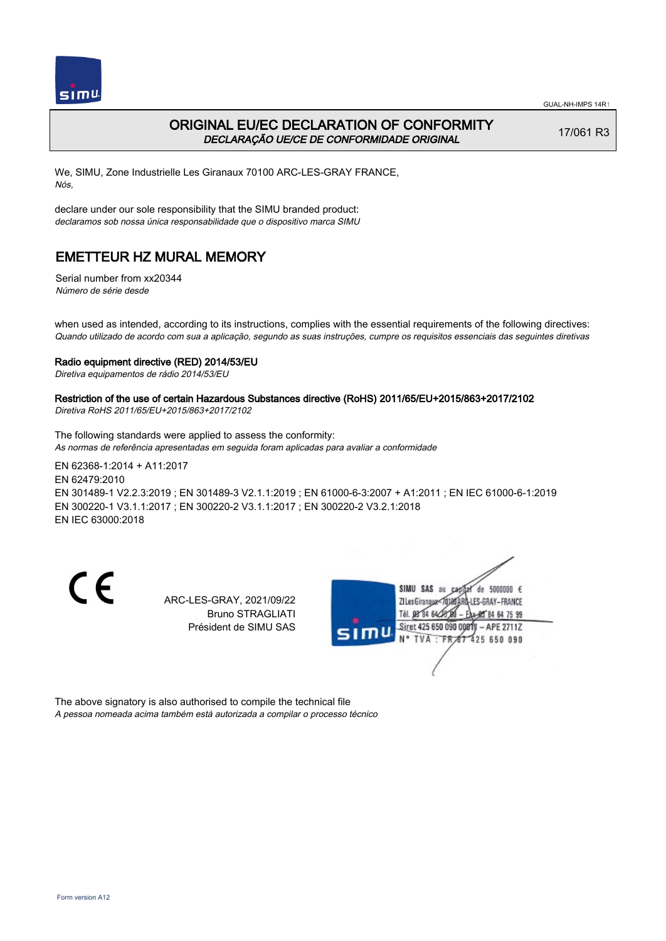

## ORIGINAL EU/EC DECLARATION OF CONFORMITY DECLARAÇÃO UE/CE DE CONFORMIDADE ORIGINAL

17/061 R3

We, SIMU, Zone Industrielle Les Giranaux 70100 ARC-LES-GRAY FRANCE, Nós,

declare under our sole responsibility that the SIMU branded product: declaramos sob nossa única responsabilidade que o dispositivo marca SIMU

## EMETTEUR HZ MURAL MEMORY

Serial number from xx20344 Número de série desde

when used as intended, according to its instructions, complies with the essential requirements of the following directives: Quando utilizado de acordo com sua a aplicação, segundo as suas instruções, cumpre os requisitos essenciais das seguintes diretivas

#### Radio equipment directive (RED) 2014/53/EU

Diretiva equipamentos de rádio 2014/53/EU

### Restriction of the use of certain Hazardous Substances directive (RoHS) 2011/65/EU+2015/863+2017/2102

Diretiva RoHS 2011/65/EU+2015/863+2017/2102

The following standards were applied to assess the conformity: As normas de referência apresentadas em seguida foram aplicadas para avaliar a conformidade

EN 62368‑1:2014 + A11:2017 EN 62479:2010 EN 301489‑1 V2.2.3:2019 ; EN 301489‑3 V2.1.1:2019 ; EN 61000‑6‑3:2007 + A1:2011 ; EN IEC 61000‑6‑1:2019 EN 300220‑1 V3.1.1:2017 ; EN 300220‑2 V3.1.1:2017 ; EN 300220‑2 V3.2.1:2018 EN IEC 63000:2018

CE

ARC-LES-GRAY, 2021/09/22 Bruno STRAGLIATI Président de SIMU SAS



The above signatory is also authorised to compile the technical file A pessoa nomeada acima também está autorizada a compilar o processo técnico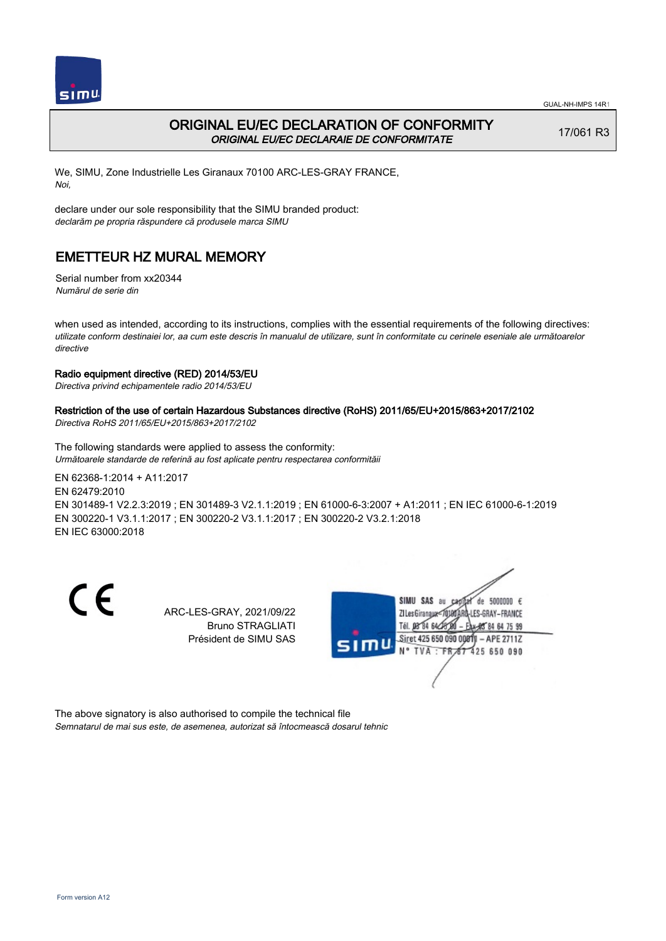

### ORIGINAL EU/EC DECLARATION OF CONFORMITY ORIGINAL EU/EC DECLARAIE DE CONFORMITATE

17/061 R3

We, SIMU, Zone Industrielle Les Giranaux 70100 ARC-LES-GRAY FRANCE, Noi,

declare under our sole responsibility that the SIMU branded product: declarăm pe propria răspundere că produsele marca SIMU

## EMETTEUR HZ MURAL MEMORY

Serial number from xx20344 Numărul de serie din

when used as intended, according to its instructions, complies with the essential requirements of the following directives: utilizate conform destinaiei lor, aa cum este descris în manualul de utilizare, sunt în conformitate cu cerinele eseniale ale următoarelor directive

### Radio equipment directive (RED) 2014/53/EU

Directiva privind echipamentele radio 2014/53/EU

### Restriction of the use of certain Hazardous Substances directive (RoHS) 2011/65/EU+2015/863+2017/2102

Directiva RoHS 2011/65/EU+2015/863+2017/2102

The following standards were applied to assess the conformity: Următoarele standarde de referină au fost aplicate pentru respectarea conformităii

EN 62368‑1:2014 + A11:2017 EN 62479:2010 EN 301489‑1 V2.2.3:2019 ; EN 301489‑3 V2.1.1:2019 ; EN 61000‑6‑3:2007 + A1:2011 ; EN IEC 61000‑6‑1:2019 EN 300220‑1 V3.1.1:2017 ; EN 300220‑2 V3.1.1:2017 ; EN 300220‑2 V3.2.1:2018 EN IEC 63000:2018

CE

ARC-LES-GRAY, 2021/09/22 Bruno STRAGLIATI Président de SIMU SAS



The above signatory is also authorised to compile the technical file Semnatarul de mai sus este, de asemenea, autorizat să întocmească dosarul tehnic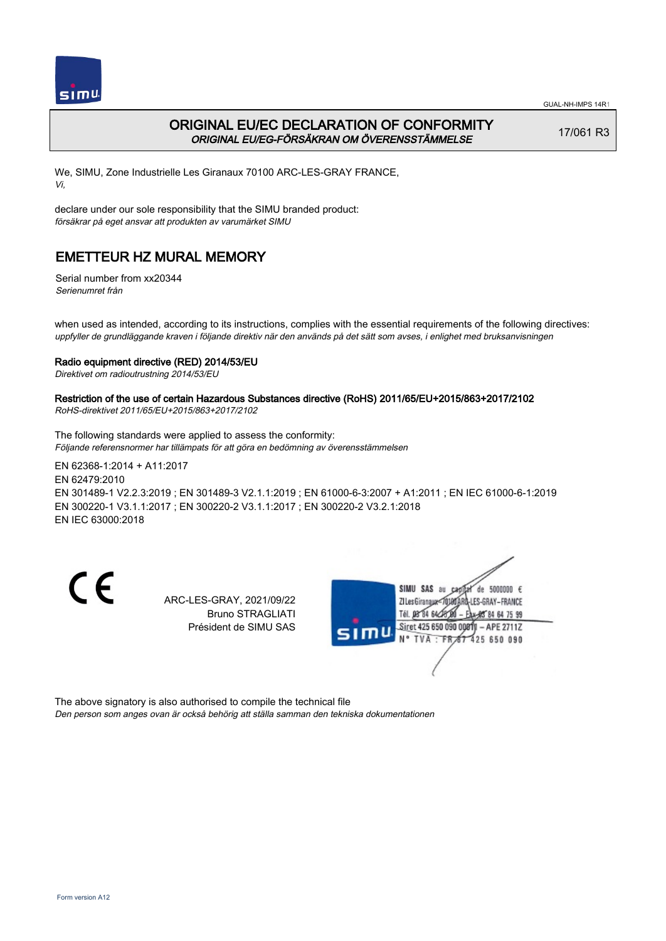

## ORIGINAL EU/EC DECLARATION OF CONFORMITY ORIGINAL EU/EG-FÖRSÄKRAN OM ÖVERENSSTÄMMELSE

17/061 R3

We, SIMU, Zone Industrielle Les Giranaux 70100 ARC-LES-GRAY FRANCE, Vi,

declare under our sole responsibility that the SIMU branded product: försäkrar på eget ansvar att produkten av varumärket SIMU

# EMETTEUR HZ MURAL MEMORY

Serial number from xx20344 Serienumret från

when used as intended, according to its instructions, complies with the essential requirements of the following directives: uppfyller de grundläggande kraven i följande direktiv när den används på det sätt som avses, i enlighet med bruksanvisningen

### Radio equipment directive (RED) 2014/53/EU

Direktivet om radioutrustning 2014/53/EU

# Restriction of the use of certain Hazardous Substances directive (RoHS) 2011/65/EU+2015/863+2017/2102

RoHS-direktivet 2011/65/EU+2015/863+2017/2102

The following standards were applied to assess the conformity: Följande referensnormer har tillämpats för att göra en bedömning av överensstämmelsen

EN 62368‑1:2014 + A11:2017 EN 62479:2010 EN 301489‑1 V2.2.3:2019 ; EN 301489‑3 V2.1.1:2019 ; EN 61000‑6‑3:2007 + A1:2011 ; EN IEC 61000‑6‑1:2019 EN 300220‑1 V3.1.1:2017 ; EN 300220‑2 V3.1.1:2017 ; EN 300220‑2 V3.2.1:2018 EN IEC 63000:2018

CE

ARC-LES-GRAY, 2021/09/22 Bruno STRAGLIATI Président de SIMU SAS



The above signatory is also authorised to compile the technical file Den person som anges ovan är också behörig att ställa samman den tekniska dokumentationen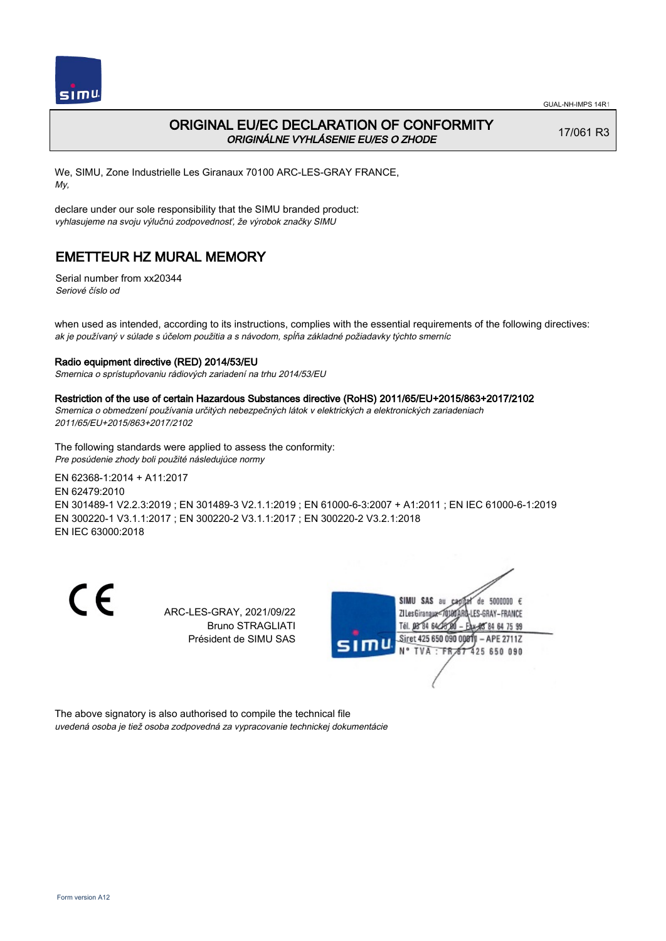

### ORIGINAL EU/EC DECLARATION OF CONFORMITY ORIGINÁLNE VYHLÁSENIE EU/ES O ZHODE

17/061 R3

We, SIMU, Zone Industrielle Les Giranaux 70100 ARC-LES-GRAY FRANCE, My,

declare under our sole responsibility that the SIMU branded product: vyhlasujeme na svoju výlučnú zodpovednosť, že výrobok značky SIMU

## EMETTEUR HZ MURAL MEMORY

Serial number from xx20344 Seriové číslo od

when used as intended, according to its instructions, complies with the essential requirements of the following directives: ak je používaný v súlade s účelom použitia a s návodom, spĺňa základné požiadavky týchto smerníc

#### Radio equipment directive (RED) 2014/53/EU

Smernica o sprístupňovaniu rádiových zariadení na trhu 2014/53/EU

#### Restriction of the use of certain Hazardous Substances directive (RoHS) 2011/65/EU+2015/863+2017/2102

Smernica o obmedzení používania určitých nebezpečných látok v elektrických a elektronických zariadeniach 2011/65/EU+2015/863+2017/2102

The following standards were applied to assess the conformity: Pre posúdenie zhody boli použité následujúce normy

EN 62368‑1:2014 + A11:2017 EN 62479:2010 EN 301489‑1 V2.2.3:2019 ; EN 301489‑3 V2.1.1:2019 ; EN 61000‑6‑3:2007 + A1:2011 ; EN IEC 61000‑6‑1:2019 EN 300220‑1 V3.1.1:2017 ; EN 300220‑2 V3.1.1:2017 ; EN 300220‑2 V3.2.1:2018 EN IEC 63000:2018

C E

ARC-LES-GRAY, 2021/09/22 Bruno STRAGLIATI Président de SIMU SAS



The above signatory is also authorised to compile the technical file uvedená osoba je tiež osoba zodpovedná za vypracovanie technickej dokumentácie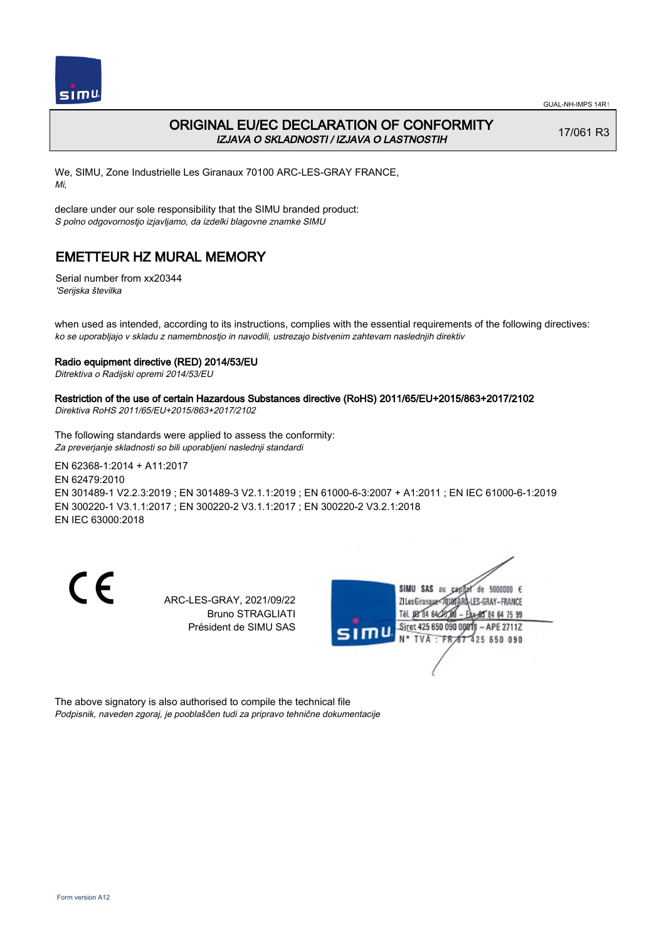

## ORIGINAL EU/EC DECLARATION OF CONFORMITY IZJAVA O SKLADNOSTI / IZJAVA O LASTNOSTIH

17/061 R3

We, SIMU, Zone Industrielle Les Giranaux 70100 ARC-LES-GRAY FRANCE, Mi,

declare under our sole responsibility that the SIMU branded product: S polno odgovornostjo izjavljamo, da izdelki blagovne znamke SIMU

## EMETTEUR HZ MURAL MEMORY

Serial number from xx20344 'Serijska številka

when used as intended, according to its instructions, complies with the essential requirements of the following directives: ko se uporabljajo v skladu z namembnostjo in navodili, ustrezajo bistvenim zahtevam naslednjih direktiv

### Radio equipment directive (RED) 2014/53/EU

Ditrektiva o Radijski opremi 2014/53/EU

## Restriction of the use of certain Hazardous Substances directive (RoHS) 2011/65/EU+2015/863+2017/2102

Direktiva RoHS 2011/65/EU+2015/863+2017/2102

The following standards were applied to assess the conformity: Za preverjanje skladnosti so bili uporabljeni naslednji standardi

EN 62368‑1:2014 + A11:2017 EN 62479:2010 EN 301489‑1 V2.2.3:2019 ; EN 301489‑3 V2.1.1:2019 ; EN 61000‑6‑3:2007 + A1:2011 ; EN IEC 61000‑6‑1:2019 EN 300220‑1 V3.1.1:2017 ; EN 300220‑2 V3.1.1:2017 ; EN 300220‑2 V3.2.1:2018 EN IEC 63000:2018

CE

ARC-LES-GRAY, 2021/09/22 Bruno STRAGLIATI Président de SIMU SAS



The above signatory is also authorised to compile the technical file Podpisnik, naveden zgoraj, je pooblaščen tudi za pripravo tehnične dokumentacije